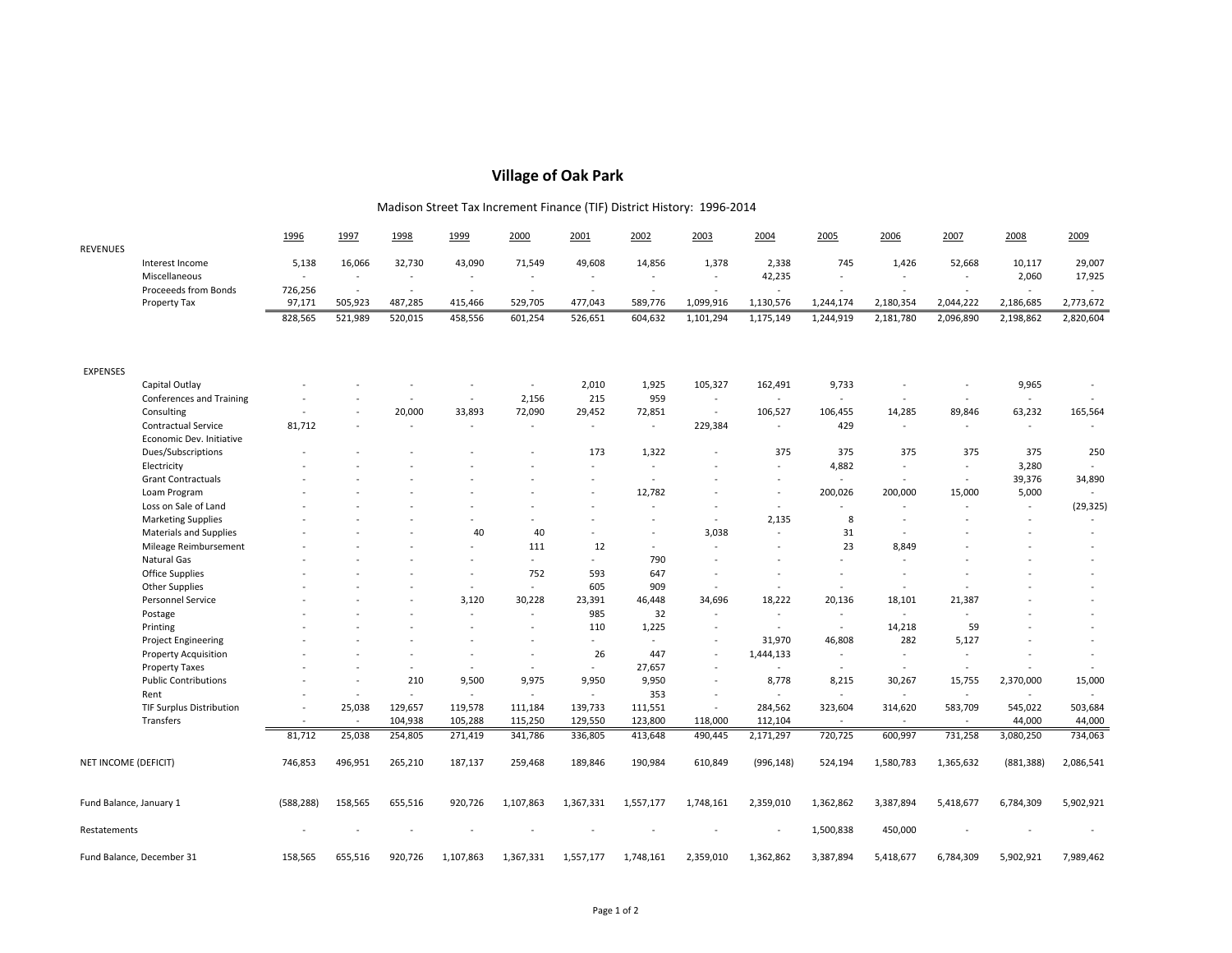## **Village of Oak Park**

## Madison Street Tax Increment Finance (TIF) District History: 1996‐2014

|                           |                                 | 1996       | 1997    | 1998     | 1999                     | 2000      | 2001                     | 2002           | 2003                     | 2004       | 2005      | 2006           | 2007      | 2008                     | 2009      |
|---------------------------|---------------------------------|------------|---------|----------|--------------------------|-----------|--------------------------|----------------|--------------------------|------------|-----------|----------------|-----------|--------------------------|-----------|
| <b>REVENUES</b>           |                                 |            |         |          |                          |           |                          |                |                          |            |           |                |           |                          |           |
|                           | Interest Income                 | 5,138      | 16,066  | 32,730   | 43,090                   | 71,549    | 49,608                   | 14,856         | 1,378                    | 2,338      | 745       | 1,426          | 52,668    | 10,117                   | 29,007    |
|                           | Miscellaneous                   |            | $\sim$  | $\omega$ | ÷,                       | $\sim$    | $\overline{\phantom{a}}$ | $\sim$         | $\omega$                 | 42,235     |           |                | $\sim$    | 2,060                    | 17,925    |
|                           | Proceeeds from Bonds            | 726,256    | $\sim$  | $\sim$   | $\overline{a}$           | $\sim$    | $\sim$                   | $\sim$         |                          |            |           |                |           |                          |           |
|                           | Property Tax                    | 97,171     | 505,923 | 487,285  | 415,466                  | 529,705   | 477,043                  | 589,776        | 1,099,916                | 1,130,576  | 1,244,174 | 2,180,354      | 2,044,222 | 2,186,685                | 2,773,672 |
|                           |                                 | 828,565    | 521,989 | 520,015  | 458,556                  | 601,254   | 526,651                  | 604,632        | 1,101,294                | 1,175,149  | 1,244,919 | 2,181,780      | 2,096,890 | 2,198,862                | 2,820,604 |
|                           |                                 |            |         |          |                          |           |                          |                |                          |            |           |                |           |                          |           |
| <b>EXPENSES</b>           |                                 |            |         |          |                          |           |                          |                |                          |            |           |                |           |                          |           |
|                           | Capital Outlay                  |            |         |          |                          | $\sim$    | 2,010                    | 1,925          | 105,327                  | 162,491    | 9,733     |                |           | 9,965                    |           |
|                           | Conferences and Training        |            |         |          | $\sim$                   | 2,156     | 215                      | 959            | $\sim$                   | $\sim$     | $\sim$    | $\sim$         |           | $\sim$                   |           |
|                           | Consulting                      |            |         | 20,000   | 33,893                   | 72,090    | 29,452                   | 72,851         | $\sim$                   | 106,527    | 106,455   | 14,285         | 89,846    | 63,232                   | 165,564   |
|                           | Contractual Service             | 81,712     |         |          | $\overline{a}$           | $\sim$    | $\sim$                   | $\sim$         | 229,384                  | $\sim$     | 429       | $\sim$         | $\omega$  | $\omega$                 |           |
|                           | Economic Dev. Initiative        |            |         |          |                          |           |                          |                |                          |            |           |                |           |                          |           |
|                           | Dues/Subscriptions              |            |         |          |                          |           | 173                      | 1,322          |                          | 375        | 375       | 375            | 375       | 375                      | 250       |
|                           | Electricity                     |            |         |          |                          |           | ٠                        | $\sim$         |                          | $\sim$     | 4,882     | $\blacksquare$ | $\sim$    | 3,280                    |           |
|                           | <b>Grant Contractuals</b>       |            |         |          |                          |           | $\ddot{\phantom{1}}$     | $\sim$         |                          |            | $\sim$    | $\sim$         | $\omega$  | 39,376                   | 34,890    |
|                           | Loam Program                    |            |         |          |                          |           |                          | 12,782         |                          |            | 200,026   | 200,000        | 15,000    | 5,000                    |           |
|                           | Loss on Sale of Land            |            |         |          |                          |           | $\overline{\phantom{a}}$ | $\sim$         |                          | $\sim$     | $\sim$    | $\sim$         | $\sim$    | $\omega$                 | (29, 325) |
|                           | <b>Marketing Supplies</b>       |            |         |          |                          | $\sim$    | $\overline{\phantom{a}}$ | $\overline{a}$ | $\omega$                 | 2,135      | 8         | $\sim$         | ä,        | ä,                       |           |
|                           | Materials and Supplies          |            |         |          | 40                       | 40        | $\blacksquare$           | $\sim$         | 3,038                    |            | 31        | $\sim$         |           |                          |           |
|                           | Mileage Reimbursement           |            |         |          | $\overline{\phantom{a}}$ | 111       | 12                       | $\sim$         | $\sim$                   | $\sim$     | 23        | 8,849          |           |                          |           |
|                           | Natural Gas                     |            |         |          |                          | $\sim$    | ÷.                       | 790            |                          |            |           | ÷.             |           |                          |           |
|                           | <b>Office Supplies</b>          |            |         |          | $\overline{a}$           | 752       | 593                      | 647            |                          |            |           |                |           |                          |           |
|                           | <b>Other Supplies</b>           |            |         |          | ÷,                       | $\sim$    | 605                      | 909            | $\sim$                   |            | $\sim$    | $\sim$         |           |                          |           |
|                           | Personnel Service               |            |         |          | 3,120                    | 30,228    | 23,391                   | 46,448         | 34,696                   | 18,222     | 20,136    | 18,101         | 21,387    |                          |           |
|                           | Postage                         |            |         |          | $\overline{a}$           | $\sim$    | 985                      | 32             | $\sim$                   | $\sim$     | $\sim$    | $\sim$         | $\sim$    |                          |           |
|                           | Printing                        |            |         |          |                          |           | 110                      | 1,225          |                          | $\sim$     | $\sim$    | 14,218         | 59        |                          |           |
|                           | <b>Project Engineering</b>      |            |         |          |                          | $\sim$    | ÷.                       | $\sim$         | $\sim$                   | 31,970     | 46,808    | 282            | 5,127     |                          |           |
|                           | <b>Property Acquisition</b>     |            |         |          | $\overline{\phantom{a}}$ | $\sim$    | 26                       | 447            | $\sim$                   | 1,444,133  | $\sim$    | $\sim$         | $\sim$    | $\overline{\phantom{a}}$ | $\sim$    |
|                           | <b>Property Taxes</b>           |            |         | $\sim$   | $\sim$                   | $\sim$    | ÷.                       | 27,657         | $\sim$                   |            | $\sim$    | $\sim$         | $\sim$    |                          |           |
|                           | <b>Public Contributions</b>     |            | $\sim$  | 210      | 9,500                    | 9,975     | 9,950                    | 9,950          | $\sim$                   | 8,778      | 8,215     | 30,267         | 15,755    | 2,370,000                | 15,000    |
|                           | Rent                            |            | $\sim$  | $\sim$   | $\overline{\phantom{a}}$ | $\sim$    | $\sim$                   | 353            | $\overline{\phantom{a}}$ | $\sim$     | $\sim$    | $\sim$         | $\sim$    | $\sim$                   |           |
|                           | <b>TIF Surplus Distribution</b> |            | 25,038  | 129,657  | 119,578                  | 111,184   | 139,733                  | 111,551        | $\sim$                   | 284,562    | 323,604   | 314,620        | 583,709   | 545,022                  | 503,684   |
|                           | Transfers                       | $\sim$     | $\sim$  | 104,938  | 105,288                  | 115,250   | 129,550                  | 123,800        | 118,000                  | 112,104    | $\sim$    | $\sim$         | $\sim$    | 44,000                   | 44,000    |
|                           |                                 | 81,712     | 25,038  | 254,805  | 271,419                  | 341,786   | 336,805                  | 413,648        | 490,445                  | 2,171,297  | 720,725   | 600,997        | 731,258   | 3,080,250                | 734,063   |
| NET INCOME (DEFICIT)      |                                 | 746,853    | 496,951 | 265,210  | 187,137                  | 259,468   | 189,846                  | 190,984        | 610,849                  | (996, 148) | 524,194   | 1,580,783      | 1,365,632 | (881, 388)               | 2,086,541 |
| Fund Balance, January 1   |                                 | (588, 288) | 158,565 | 655,516  | 920,726                  | 1,107,863 | 1,367,331                | 1,557,177      | 1,748,161                | 2,359,010  | 1,362,862 | 3,387,894      | 5,418,677 | 6,784,309                | 5,902,921 |
|                           |                                 |            |         |          |                          |           |                          |                |                          |            |           |                |           |                          |           |
| Restatements              |                                 |            |         |          |                          |           |                          |                |                          |            | 1,500,838 | 450,000        |           |                          |           |
| Fund Balance, December 31 |                                 | 158,565    | 655,516 | 920,726  | 1,107,863                | 1,367,331 | 1,557,177                | 1,748,161      | 2,359,010                | 1,362,862  | 3,387,894 | 5,418,677      | 6,784,309 | 5,902,921                | 7,989,462 |